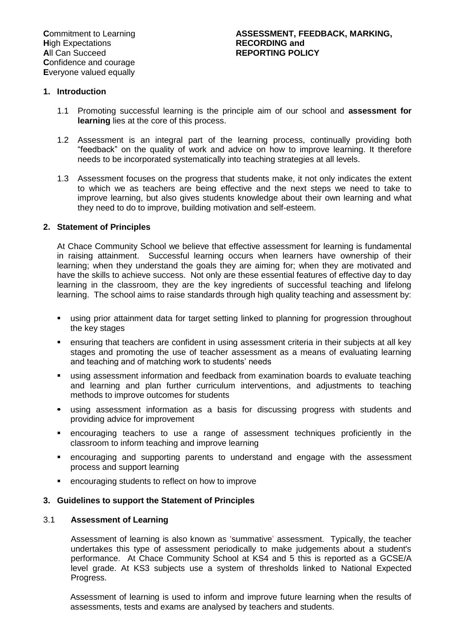## **1. Introduction**

- 1.1 Promoting successful learning is the principle aim of our school and **assessment for learning** lies at the core of this process.
- 1.2 Assessment is an integral part of the learning process, continually providing both "feedback" on the quality of work and advice on how to improve learning. It therefore needs to be incorporated systematically into teaching strategies at all levels.
- 1.3 Assessment focuses on the progress that students make, it not only indicates the extent to which we as teachers are being effective and the next steps we need to take to improve learning, but also gives students knowledge about their own learning and what they need to do to improve, building motivation and self-esteem.

#### **2. Statement of Principles**

At Chace Community School we believe that effective assessment for learning is fundamental in raising attainment. Successful learning occurs when learners have ownership of their learning; when they understand the goals they are aiming for; when they are motivated and have the skills to achieve success. Not only are these essential features of effective day to day learning in the classroom, they are the key ingredients of successful teaching and lifelong learning. The school aims to raise standards through high quality teaching and assessment by:

- using prior attainment data for target setting linked to planning for progression throughout the key stages
- ensuring that teachers are confident in using assessment criteria in their subjects at all key stages and promoting the use of teacher assessment as a means of evaluating learning and teaching and of matching work to students' needs
- using assessment information and feedback from examination boards to evaluate teaching and learning and plan further curriculum interventions, and adjustments to teaching methods to improve outcomes for students
- using assessment information as a basis for discussing progress with students and providing advice for improvement
- encouraging teachers to use a range of assessment techniques proficiently in the classroom to inform teaching and improve learning
- encouraging and supporting parents to understand and engage with the assessment process and support learning
- encouraging students to reflect on how to improve

#### **3. Guidelines to support the Statement of Principles**

#### 3.1 **Assessment of Learning**

Assessment of learning is also known as 'summative' assessment. Typically, the teacher undertakes this type of assessment periodically to make judgements about a student's performance. At Chace Community School at KS4 and 5 this is reported as a GCSE/A level grade. At KS3 subjects use a system of thresholds linked to National Expected Progress.

Assessment of learning is used to inform and improve future learning when the results of assessments, tests and exams are analysed by teachers and students.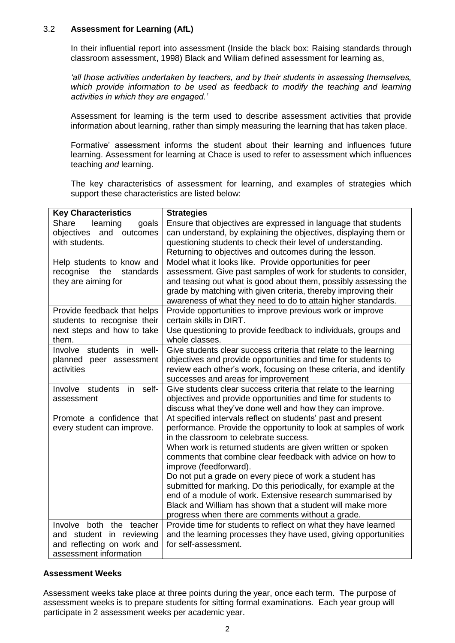## 3.2 **Assessment for Learning (AfL)**

In their influential report into assessment (Inside the black box: Raising standards through classroom assessment, 1998) Black and Wiliam defined assessment for learning as,

*'all those activities undertaken by teachers, and by their students in assessing themselves,*  which provide information to be used as feedback to modify the teaching and learning *activities in which they are engaged.'*

Assessment for learning is the term used to describe assessment activities that provide information about learning, rather than simply measuring the learning that has taken place.

Formative' assessment informs the student about their learning and influences future learning. Assessment for learning at Chace is used to refer to assessment which influences teaching *and* learning.

The key characteristics of assessment for learning, and examples of strategies which support these characteristics are listed below:

| <b>Key Characteristics</b>                                  | <b>Strategies</b>                                                                                                                  |
|-------------------------------------------------------------|------------------------------------------------------------------------------------------------------------------------------------|
| Share<br>learning<br>goals<br>objectives<br>and<br>outcomes | Ensure that objectives are expressed in language that students<br>can understand, by explaining the objectives, displaying them or |
| with students.                                              | questioning students to check their level of understanding.                                                                        |
|                                                             | Returning to objectives and outcomes during the lesson.                                                                            |
| Help students to know and<br>recognise the<br>standards     | Model what it looks like. Provide opportunities for peer<br>assessment. Give past samples of work for students to consider,        |
| they are aiming for                                         | and teasing out what is good about them, possibly assessing the                                                                    |
|                                                             | grade by matching with given criteria, thereby improving their                                                                     |
|                                                             | awareness of what they need to do to attain higher standards.                                                                      |
| Provide feedback that helps                                 | Provide opportunities to improve previous work or improve                                                                          |
| students to recognise their                                 | certain skills in DIRT.                                                                                                            |
| next steps and how to take                                  | Use questioning to provide feedback to individuals, groups and                                                                     |
| them.                                                       | whole classes.                                                                                                                     |
| Involve students in well-<br>planned peer assessment        | Give students clear success criteria that relate to the learning<br>objectives and provide opportunities and time for students to  |
| activities                                                  | review each other's work, focusing on these criteria, and identify                                                                 |
|                                                             | successes and areas for improvement                                                                                                |
| Involve<br>students<br>in<br>self-                          | Give students clear success criteria that relate to the learning                                                                   |
| assessment                                                  | objectives and provide opportunities and time for students to                                                                      |
|                                                             | discuss what they've done well and how they can improve.                                                                           |
| Promote a confidence that                                   | At specified intervals reflect on students' past and present                                                                       |
| every student can improve.                                  | performance. Provide the opportunity to look at samples of work<br>in the classroom to celebrate success.                          |
|                                                             | When work is returned students are given written or spoken                                                                         |
|                                                             | comments that combine clear feedback with advice on how to                                                                         |
|                                                             | improve (feedforward).                                                                                                             |
|                                                             | Do not put a grade on every piece of work a student has                                                                            |
|                                                             | submitted for marking. Do this periodically, for example at the                                                                    |
|                                                             | end of a module of work. Extensive research summarised by                                                                          |
|                                                             | Black and William has shown that a student will make more                                                                          |
| Involve both the teacher                                    | progress when there are comments without a grade.<br>Provide time for students to reflect on what they have learned                |
| and student in reviewing                                    | and the learning processes they have used, giving opportunities                                                                    |
| and reflecting on work and                                  | for self-assessment.                                                                                                               |
| assessment information                                      |                                                                                                                                    |

## **Assessment Weeks**

Assessment weeks take place at three points during the year, once each term. The purpose of assessment weeks is to prepare students for sitting formal examinations. Each year group will participate in 2 assessment weeks per academic year.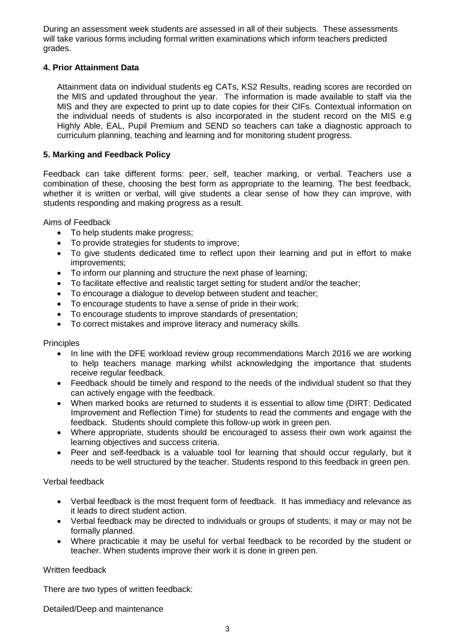During an assessment week students are assessed in all of their subjects. These assessments will take various forms including formal written examinations which inform teachers predicted grades.

## **4. Prior Attainment Data**

Attainment data on individual students eg CATs, KS2 Results, reading scores are recorded on the MIS and updated throughout the year. The information is made available to staff via the MIS and they are expected to print up to date copies for their CIFs. Contextual information on the individual needs of students is also incorporated in the student record on the MIS e.g Highly Able, EAL, Pupil Premium and SEND so teachers can take a diagnostic approach to curriculum planning, teaching and learning and for monitoring student progress.

## **5. Marking and Feedback Policy**

Feedback can take different forms: peer, self, teacher marking, or verbal. Teachers use a combination of these, choosing the best form as appropriate to the learning. The best feedback, whether it is written or verbal, will give students a clear sense of how they can improve, with students responding and making progress as a result.

Aims of Feedback

- To help students make progress:
- To provide strategies for students to improve;
- To give students dedicated time to reflect upon their learning and put in effort to make improvements;
- To inform our planning and structure the next phase of learning;
- To facilitate effective and realistic target setting for student and/or the teacher;
- To encourage a dialogue to develop between student and teacher;
- To encourage students to have a sense of pride in their work;
- To encourage students to improve standards of presentation;
- To correct mistakes and improve literacy and numeracy skills.

## **Principles**

- In line with the DFE workload review group recommendations March 2016 we are working to help teachers manage marking whilst acknowledging the importance that students receive regular feedback.
- Feedback should be timely and respond to the needs of the individual student so that they can actively engage with the feedback.
- When marked books are returned to students it is essential to allow time (DIRT: Dedicated Improvement and Reflection Time) for students to read the comments and engage with the feedback. Students should complete this follow-up work in green pen.
- Where appropriate, students should be encouraged to assess their own work against the learning objectives and success criteria.
- Peer and self-feedback is a valuable tool for learning that should occur regularly, but it needs to be well structured by the teacher. Students respond to this feedback in green pen.

## Verbal feedback

- Verbal feedback is the most frequent form of feedback. It has immediacy and relevance as it leads to direct student action.
- Verbal feedback may be directed to individuals or groups of students; it may or may not be formally planned.
- Where practicable it may be useful for verbal feedback to be recorded by the student or teacher. When students improve their work it is done in green pen.

## Written feedback

There are two types of written feedback:

Detailed/Deep and maintenance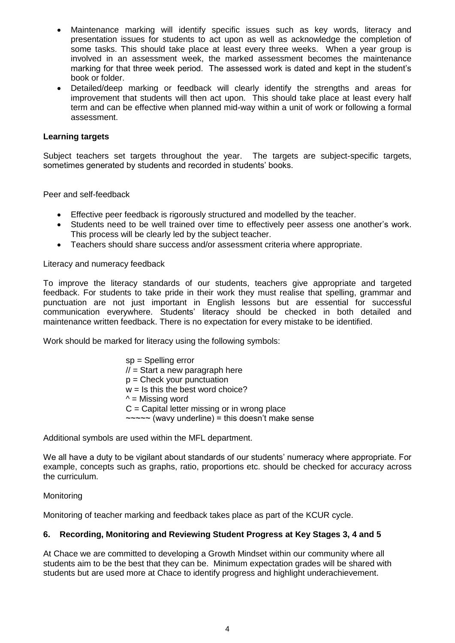- Maintenance marking will identify specific issues such as key words, literacy and presentation issues for students to act upon as well as acknowledge the completion of some tasks. This should take place at least every three weeks. When a year group is involved in an assessment week, the marked assessment becomes the maintenance marking for that three week period. The assessed work is dated and kept in the student"s book or folder.
- Detailed/deep marking or feedback will clearly identify the strengths and areas for improvement that students will then act upon. This should take place at least every half term and can be effective when planned mid-way within a unit of work or following a formal assessment.

## **Learning targets**

Subject teachers set targets throughout the year. The targets are subject-specific targets, sometimes generated by students and recorded in students" books.

Peer and self-feedback

- Effective peer feedback is rigorously structured and modelled by the teacher.
- Students need to be well trained over time to effectively peer assess one another"s work. This process will be clearly led by the subject teacher.
- Teachers should share success and/or assessment criteria where appropriate.

Literacy and numeracy feedback

To improve the literacy standards of our students, teachers give appropriate and targeted feedback. For students to take pride in their work they must realise that spelling, grammar and punctuation are not just important in English lessons but are essential for successful communication everywhere. Students" literacy should be checked in both detailed and maintenance written feedback. There is no expectation for every mistake to be identified.

Work should be marked for literacy using the following symbols:

sp = Spelling error  $\mathcal{U}$  = Start a new paragraph here  $p =$ Check your punctuation  $w =$  Is this the best word choice?  $\wedge$  = Missing word  $C =$  Capital letter missing or in wrong place  $\sim$   $\sim$  (wavy underline) = this doesn't make sense

Additional symbols are used within the MFL department.

We all have a duty to be vigilant about standards of our students' numeracy where appropriate. For example, concepts such as graphs, ratio, proportions etc. should be checked for accuracy across the curriculum.

**Monitoring** 

Monitoring of teacher marking and feedback takes place as part of the KCUR cycle.

## **6. Recording, Monitoring and Reviewing Student Progress at Key Stages 3, 4 and 5**

At Chace we are committed to developing a Growth Mindset within our community where all students aim to be the best that they can be. Minimum expectation grades will be shared with students but are used more at Chace to identify progress and highlight underachievement.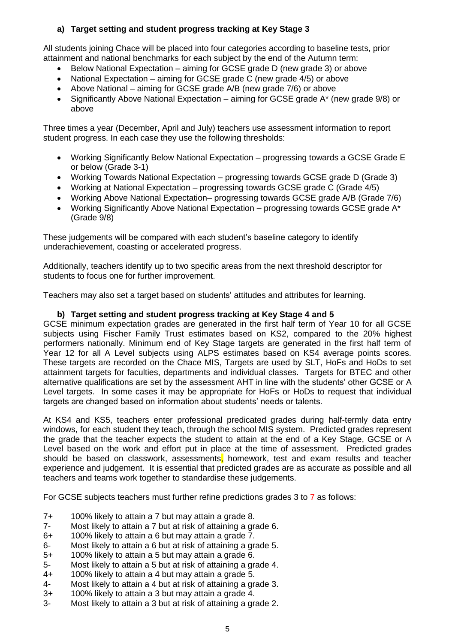# **a) Target setting and student progress tracking at Key Stage 3**

All students joining Chace will be placed into four categories according to baseline tests, prior attainment and national benchmarks for each subject by the end of the Autumn term:

- Below National Expectation aiming for GCSE grade D (new grade 3) or above
- National Expectation aiming for GCSE grade C (new grade 4/5) or above
- Above National aiming for GCSE grade A/B (new grade 7/6) or above
- Significantly Above National Expectation aiming for GCSE grade A\* (new grade 9/8) or above

Three times a year (December, April and July) teachers use assessment information to report student progress. In each case they use the following thresholds:

- Working Significantly Below National Expectation progressing towards a GCSE Grade E or below (Grade 3-1)
- Working Towards National Expectation progressing towards GCSE grade D (Grade 3)
- Working at National Expectation progressing towards GCSE grade C (Grade 4/5)
- Working Above National Expectation– progressing towards GCSE grade A/B (Grade 7/6)
- Working Significantly Above National Expectation progressing towards GCSE grade A<sup>\*</sup> (Grade 9/8)

These judgements will be compared with each student"s baseline category to identify underachievement, coasting or accelerated progress.

Additionally, teachers identify up to two specific areas from the next threshold descriptor for students to focus one for further improvement.

Teachers may also set a target based on students" attitudes and attributes for learning.

## **b) Target setting and student progress tracking at Key Stage 4 and 5**

GCSE minimum expectation grades are generated in the first half term of Year 10 for all GCSE subjects using Fischer Family Trust estimates based on KS2, compared to the 20% highest performers nationally. Minimum end of Key Stage targets are generated in the first half term of Year 12 for all A Level subjects using ALPS estimates based on KS4 average points scores. These targets are recorded on the Chace MIS, Targets are used by SLT, HoFs and HoDs to set attainment targets for faculties, departments and individual classes. Targets for BTEC and other alternative qualifications are set by the assessment AHT in line with the students" other GCSE or A Level targets. In some cases it may be appropriate for HoFs or HoDs to request that individual targets are changed based on information about students' needs or talents.

At KS4 and KS5, teachers enter professional predicated grades during half-termly data entry windows, for each student they teach, through the school MIS system. Predicted grades represent the grade that the teacher expects the student to attain at the end of a Key Stage, GCSE or A Level based on the work and effort put in place at the time of assessment. Predicted grades should be based on classwork, assessments, homework, test and exam results and teacher experience and judgement. It is essential that predicted grades are as accurate as possible and all teachers and teams work together to standardise these judgements.

For GCSE subjects teachers must further refine predictions grades 3 to 7 as follows:

- 7+ 100% likely to attain a 7 but may attain a grade 8.
- 7- Most likely to attain a 7 but at risk of attaining a grade 6.
- 6+ 100% likely to attain a 6 but may attain a grade 7.
- 6- Most likely to attain a 6 but at risk of attaining a grade 5.
- 5+ 100% likely to attain a 5 but may attain a grade 6.
- 5- Most likely to attain a 5 but at risk of attaining a grade 4.
- 4+ 100% likely to attain a 4 but may attain a grade 5.
- 4- Most likely to attain a 4 but at risk of attaining a grade 3.
- 3+ 100% likely to attain a 3 but may attain a grade 4.
- 3- Most likely to attain a 3 but at risk of attaining a grade 2.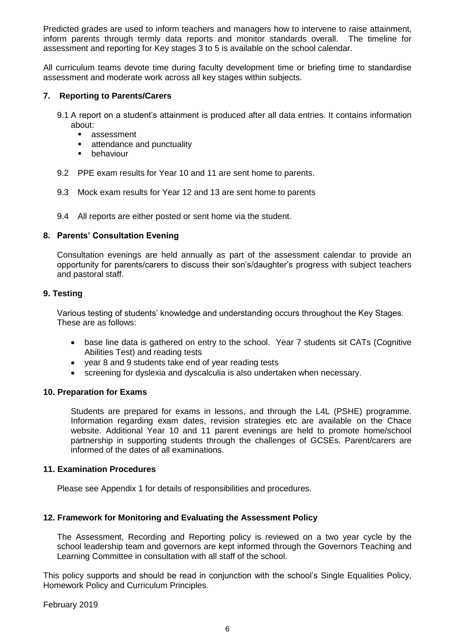Predicted grades are used to inform teachers and managers how to intervene to raise attainment, inform parents through termly data reports and monitor standards overall. The timeline for assessment and reporting for Key stages 3 to 5 is available on the school calendar.

All curriculum teams devote time during faculty development time or briefing time to standardise assessment and moderate work across all key stages within subjects.

## **7. Reporting to Parents/Carers**

- 9.1 A report on a student"s attainment is produced after all data entries. It contains information about:
	- **assessment**
	- **EXECUTE:** attendance and punctuality
	- **•** behaviour
- 9.2 PPE exam results for Year 10 and 11 are sent home to parents.
- 9.3 Mock exam results for Year 12 and 13 are sent home to parents
- 9.4 All reports are either posted or sent home via the student.

#### **8. Parents' Consultation Evening**

Consultation evenings are held annually as part of the assessment calendar to provide an opportunity for parents/carers to discuss their son"s/daughter"s progress with subject teachers and pastoral staff.

#### **9. Testing**

Various testing of students" knowledge and understanding occurs throughout the Key Stages. These are as follows:

- base line data is gathered on entry to the school. Year 7 students sit CATs (Cognitive Abilities Test) and reading tests
- year 8 and 9 students take end of year reading tests
- screening for dyslexia and dyscalculia is also undertaken when necessary.

#### **10. Preparation for Exams**

Students are prepared for exams in lessons, and through the L4L (PSHE) programme. Information regarding exam dates, revision strategies etc are available on the Chace website. Additional Year 10 and 11 parent evenings are held to promote home/school partnership in supporting students through the challenges of GCSEs. Parent/carers are informed of the dates of all examinations.

#### **11. Examination Procedures**

Please see Appendix 1 for details of responsibilities and procedures.

## **12. Framework for Monitoring and Evaluating the Assessment Policy**

The Assessment, Recording and Reporting policy is reviewed on a two year cycle by the school leadership team and governors are kept informed through the Governors Teaching and Learning Committee in consultation with all staff of the school.

This policy supports and should be read in conjunction with the school"s Single Equalities Policy, Homework Policy and Curriculum Principles.

February 2019